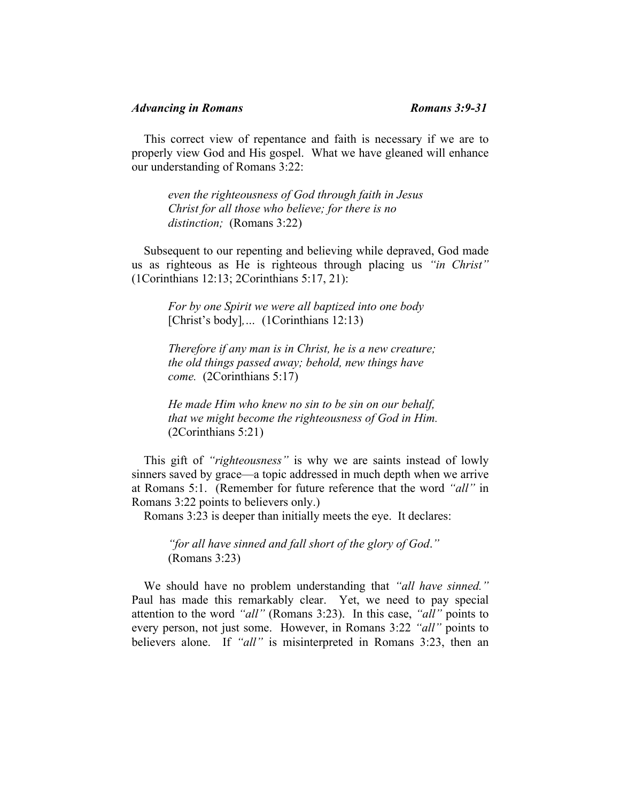This correct view of repentance and faith is necessary if we are to properly view God and His gospel. What we have gleaned will enhance our understanding of Romans 3:22:

> *even the righteousness of God through faith in Jesus Christ for all those who believe; for there is no distinction;* (Romans 3:22)

 Subsequent to our repenting and believing while depraved, God made us as righteous as He is righteous through placing us *"in Christ"* (1Corinthians 12:13; 2Corinthians 5:17, 21):

*For by one Spirit we were all baptized into one body* [Christ's body], ... (1Corinthians 12:13)

*Therefore if any man is in Christ, he is a new creature; the old things passed away; behold, new things have come.* (2Corinthians 5:17)

*He made Him who knew no sin to be sin on our behalf, that we might become the righteousness of God in Him.*  (2Corinthians 5:21)

 This gift of *"righteousness"* is why we are saints instead of lowly sinners saved by grace—a topic addressed in much depth when we arrive at Romans 5:1. (Remember for future reference that the word *"all"* in Romans 3:22 points to believers only.)

Romans 3:23 is deeper than initially meets the eye. It declares:

*"for all have sinned and fall short of the glory of God*.*"* (Romans 3:23)

 We should have no problem understanding that *"all have sinned."*  Paul has made this remarkably clear. Yet, we need to pay special attention to the word *"all"* (Romans 3:23). In this case, *"all"* points to every person, not just some. However, in Romans 3:22 *"all"* points to believers alone. If *"all"* is misinterpreted in Romans 3:23, then an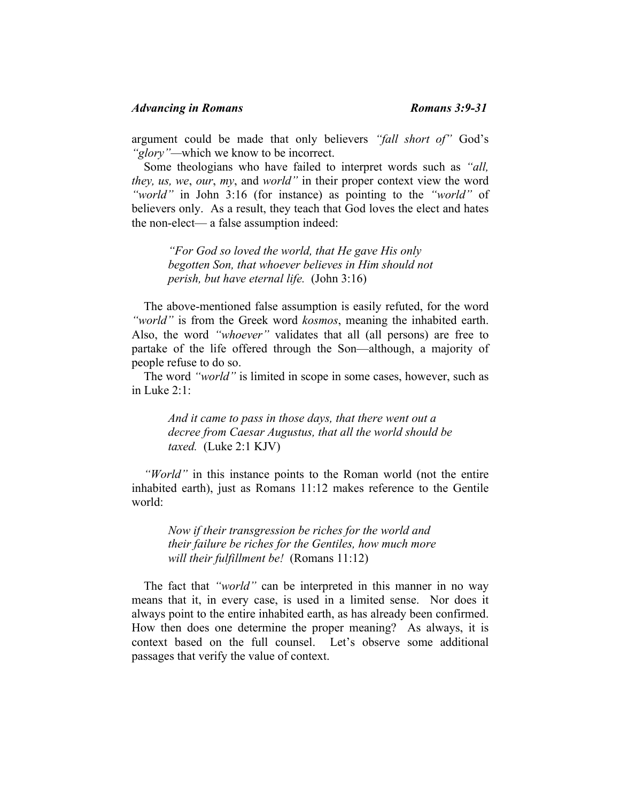argument could be made that only believers *"fall short of"* God's *"glory"—*which we know to be incorrect.

 Some theologians who have failed to interpret words such as *"all, they, us, we*, *our*, *my*, and *world"* in their proper context view the word *"world"* in John 3:16 (for instance) as pointing to the *"world"* of believers only. As a result, they teach that God loves the elect and hates the non-elect— a false assumption indeed:

*"For God so loved the world, that He gave His only begotten Son, that whoever believes in Him should not perish, but have eternal life.* (John 3:16)

 The above-mentioned false assumption is easily refuted, for the word *"world"* is from the Greek word *kosmos*, meaning the inhabited earth. Also, the word *"whoever"* validates that all (all persons) are free to partake of the life offered through the Son—although, a majority of people refuse to do so.

 The word *"world"* is limited in scope in some cases, however, such as in Luke 2:1:

*And it came to pass in those days, that there went out a decree from Caesar Augustus, that all the world should be taxed.* (Luke 2:1 KJV)

 *"World"* in this instance points to the Roman world (not the entire inhabited earth), just as Romans 11:12 makes reference to the Gentile world:

*Now if their transgression be riches for the world and their failure be riches for the Gentiles, how much more will their fulfillment be!* (Romans 11:12)

 The fact that *"world"* can be interpreted in this manner in no way means that it, in every case, is used in a limited sense. Nor does it always point to the entire inhabited earth, as has already been confirmed. How then does one determine the proper meaning? As always, it is context based on the full counsel. Let's observe some additional passages that verify the value of context.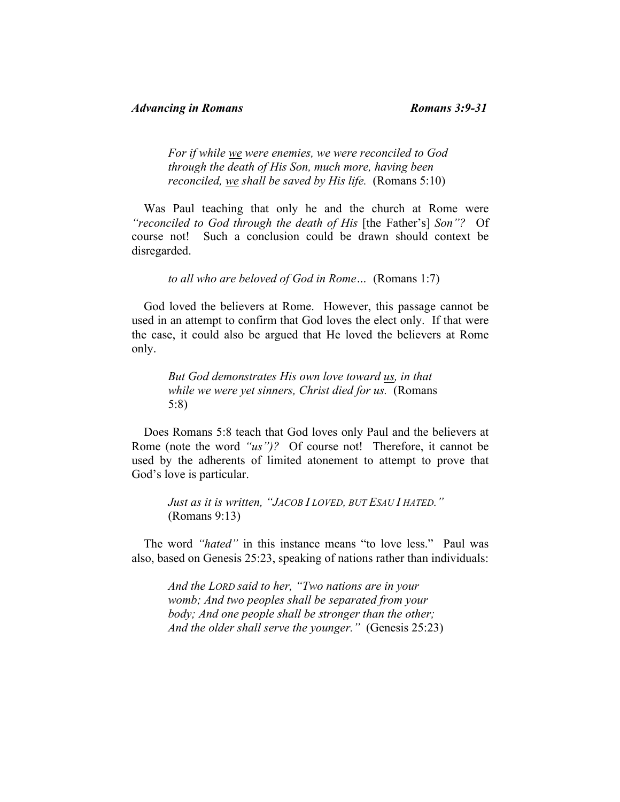*For if while we were enemies, we were reconciled to God through the death of His Son, much more, having been reconciled, we shall be saved by His life.* (Romans 5:10)

 Was Paul teaching that only he and the church at Rome were *"reconciled to God through the death of His* [the Father's] *Son"?* Of course not! Such a conclusion could be drawn should context be disregarded.

*to all who are beloved of God in Rome…* (Romans 1:7)

 God loved the believers at Rome. However, this passage cannot be used in an attempt to confirm that God loves the elect only. If that were the case, it could also be argued that He loved the believers at Rome only.

*But God demonstrates His own love toward us, in that while we were yet sinners, Christ died for us.* (Romans 5:8)

 Does Romans 5:8 teach that God loves only Paul and the believers at Rome (note the word *"us")?* Of course not! Therefore, it cannot be used by the adherents of limited atonement to attempt to prove that God's love is particular.

*Just as it is written, "JACOB I LOVED, BUT ESAU I HATED."*  (Romans 9:13)

 The word *"hated"* in this instance means "to love less." Paul was also, based on Genesis 25:23, speaking of nations rather than individuals:

*And the LORD said to her, "Two nations are in your womb; And two peoples shall be separated from your body; And one people shall be stronger than the other; And the older shall serve the younger."* (Genesis 25:23)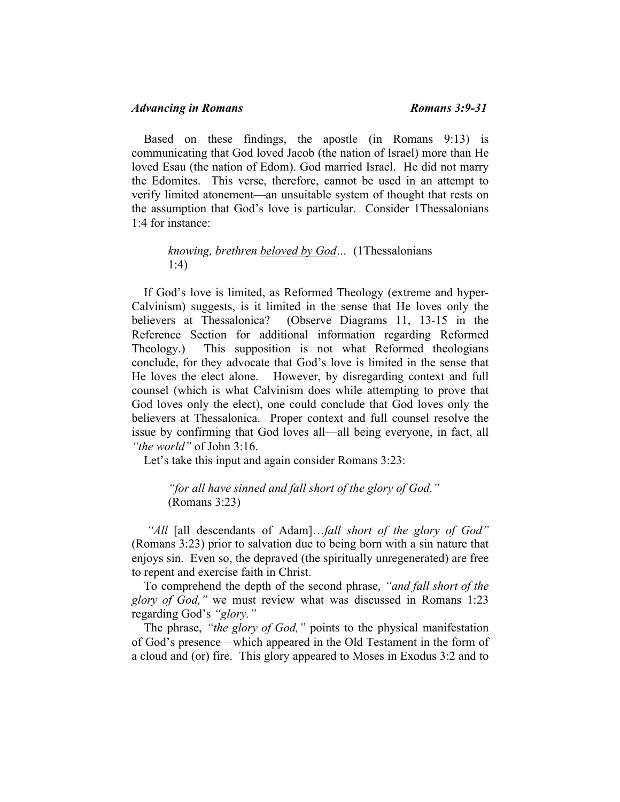# *Advancing in Romans Romans 3:9-31*

 Based on these findings, the apostle (in Romans 9:13) is communicating that God loved Jacob (the nation of Israel) more than He loved Esau (the nation of Edom). God married Israel. He did not marry the Edomites. This verse, therefore, cannot be used in an attempt to verify limited atonement—an unsuitable system of thought that rests on the assumption that God's love is particular. Consider 1Thessalonians 1:4 for instance:

## *knowing, brethren beloved by God…* (1Thessalonians 1:4)

 If God's love is limited, as Reformed Theology (extreme and hyper-Calvinism) suggests, is it limited in the sense that He loves only the believers at Thessalonica? (Observe Diagrams 11, 13-15 in the Reference Section for additional information regarding Reformed Theology.) This supposition is not what Reformed theologians conclude, for they advocate that God's love is limited in the sense that He loves the elect alone. However, by disregarding context and full counsel (which is what Calvinism does while attempting to prove that God loves only the elect), one could conclude that God loves only the believers at Thessalonica. Proper context and full counsel resolve the issue by confirming that God loves all—all being everyone, in fact, all *"the world"* of John 3:16.

Let's take this input and again consider Romans 3:23:

*"for all have sinned and fall short of the glory of God."*  (Romans 3:23)

 *"All* [all descendants of Adam]…*fall short of the glory of God"* (Romans 3:23) prior to salvation due to being born with a sin nature that enjoys sin. Even so, the depraved (the spiritually unregenerated) are free to repent and exercise faith in Christ.

 To comprehend the depth of the second phrase, *"and fall short of the glory of God,"* we must review what was discussed in Romans 1:23 regarding God's *"glory."*

 The phrase, *"the glory of God,"* points to the physical manifestation of God's presence—which appeared in the Old Testament in the form of a cloud and (or) fire. This glory appeared to Moses in Exodus 3:2 and to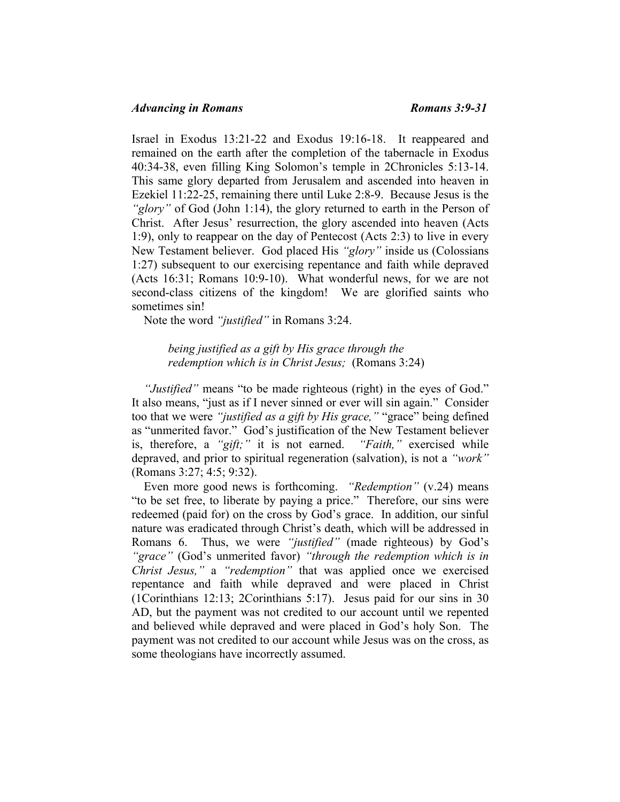## *Advancing in Romans Romans 3:9-31*

Israel in Exodus 13:21-22 and Exodus 19:16-18. It reappeared and remained on the earth after the completion of the tabernacle in Exodus 40:34-38, even filling King Solomon's temple in 2Chronicles 5:13-14. This same glory departed from Jerusalem and ascended into heaven in Ezekiel 11:22-25, remaining there until Luke 2:8-9. Because Jesus is the *"glory"* of God (John 1:14), the glory returned to earth in the Person of Christ. After Jesus' resurrection, the glory ascended into heaven (Acts 1:9), only to reappear on the day of Pentecost (Acts 2:3) to live in every New Testament believer. God placed His *"glory"* inside us (Colossians 1:27) subsequent to our exercising repentance and faith while depraved (Acts 16:31; Romans 10:9-10). What wonderful news, for we are not second-class citizens of the kingdom! We are glorified saints who sometimes sin!

Note the word *"justified"* in Romans 3:24.

*being justified as a gift by His grace through the redemption which is in Christ Jesus;* (Romans 3:24)

 *"Justified"* means "to be made righteous (right) in the eyes of God." It also means, "just as if I never sinned or ever will sin again." Consider too that we were *"justified as a gift by His grace,"* "grace" being defined as "unmerited favor." God's justification of the New Testament believer is, therefore, a *"gift;"* it is not earned. *"Faith,"* exercised while depraved, and prior to spiritual regeneration (salvation), is not a *"work"* (Romans 3:27; 4:5; 9:32).

 Even more good news is forthcoming. *"Redemption"* (v.24) means "to be set free, to liberate by paying a price." Therefore, our sins were redeemed (paid for) on the cross by God's grace. In addition, our sinful nature was eradicated through Christ's death, which will be addressed in Romans 6. Thus, we were *"justified"* (made righteous) by God's *"grace"* (God's unmerited favor) *"through the redemption which is in Christ Jesus,"* a *"redemption"* that was applied once we exercised repentance and faith while depraved and were placed in Christ (1Corinthians 12:13; 2Corinthians 5:17). Jesus paid for our sins in 30 AD, but the payment was not credited to our account until we repented and believed while depraved and were placed in God's holy Son. The payment was not credited to our account while Jesus was on the cross, as some theologians have incorrectly assumed.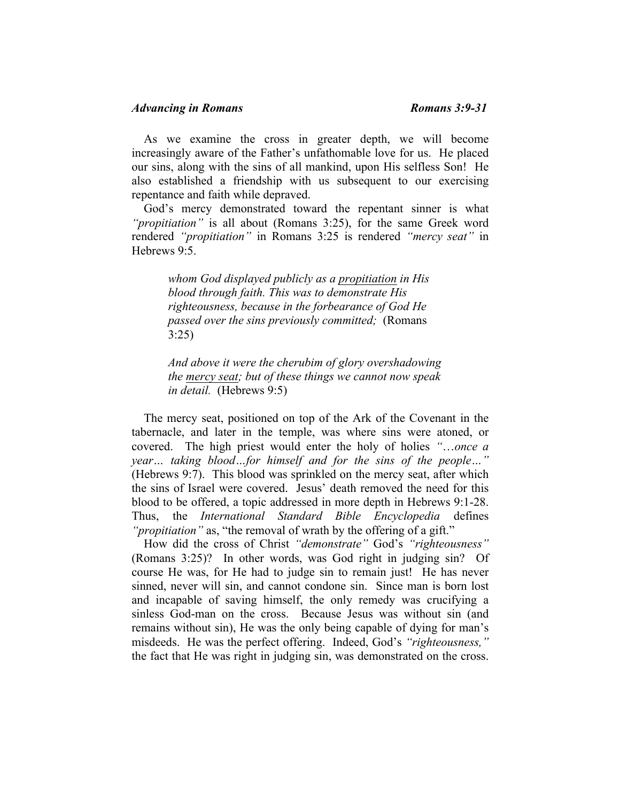# *Advancing in Romans Romans 3:9-31*

 As we examine the cross in greater depth, we will become increasingly aware of the Father's unfathomable love for us. He placed our sins, along with the sins of all mankind, upon His selfless Son! He also established a friendship with us subsequent to our exercising repentance and faith while depraved.

 God's mercy demonstrated toward the repentant sinner is what *"propitiation"* is all about (Romans 3:25), for the same Greek word rendered *"propitiation"* in Romans 3:25 is rendered *"mercy seat"* in Hebrews 9:5.

*whom God displayed publicly as a propitiation in His blood through faith. This was to demonstrate His righteousness, because in the forbearance of God He passed over the sins previously committed;* (Romans 3:25)

*And above it were the cherubim of glory overshadowing the mercy seat; but of these things we cannot now speak in detail.* (Hebrews 9:5)

 The mercy seat, positioned on top of the Ark of the Covenant in the tabernacle, and later in the temple, was where sins were atoned, or covered. The high priest would enter the holy of holies *"*…*once a year… taking blood…for himself and for the sins of the people…"* (Hebrews 9:7). This blood was sprinkled on the mercy seat, after which the sins of Israel were covered. Jesus' death removed the need for this blood to be offered, a topic addressed in more depth in Hebrews 9:1-28. Thus, the *International Standard Bible Encyclopedia* defines *"propitiation"* as, "the removal of wrath by the offering of a gift."

 How did the cross of Christ *"demonstrate"* God's *"righteousness"* (Romans 3:25)? In other words, was God right in judging sin? Of course He was, for He had to judge sin to remain just! He has never sinned, never will sin, and cannot condone sin. Since man is born lost and incapable of saving himself, the only remedy was crucifying a sinless God-man on the cross. Because Jesus was without sin (and remains without sin), He was the only being capable of dying for man's misdeeds. He was the perfect offering. Indeed, God's *"righteousness,"*  the fact that He was right in judging sin, was demonstrated on the cross.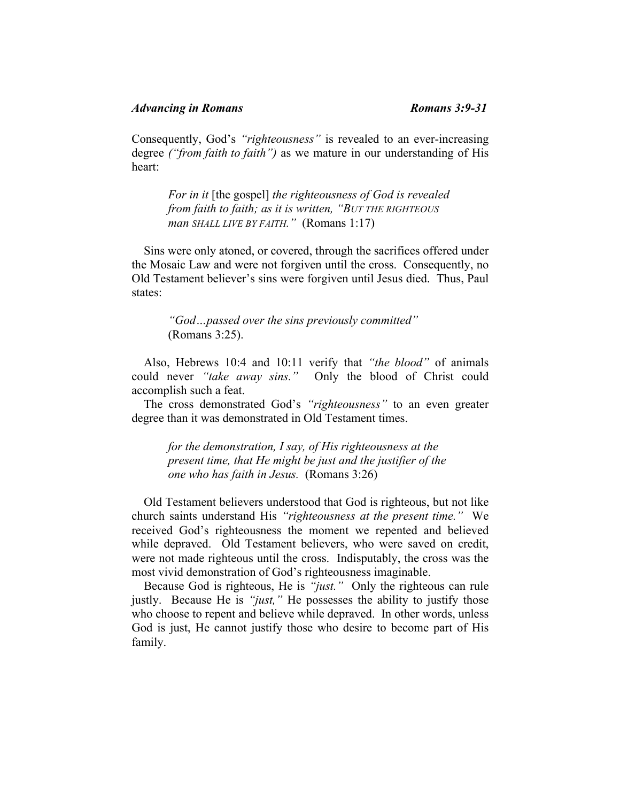Consequently, God's *"righteousness"* is revealed to an ever-increasing degree *("from faith to faith")* as we mature in our understanding of His heart:

*For in it* [the gospel] *the righteousness of God is revealed from faith to faith; as it is written, "BUT THE RIGHTEOUS man SHALL LIVE BY FAITH."* (Romans 1:17)

 Sins were only atoned, or covered, through the sacrifices offered under the Mosaic Law and were not forgiven until the cross. Consequently, no Old Testament believer's sins were forgiven until Jesus died. Thus, Paul states:

*"God…passed over the sins previously committed"* (Romans 3:25).

 Also, Hebrews 10:4 and 10:11 verify that *"the blood"* of animals could never *"take away sins."* Only the blood of Christ could accomplish such a feat.

 The cross demonstrated God's *"righteousness"* to an even greater degree than it was demonstrated in Old Testament times.

*for the demonstration, I say, of His righteousness at the present time, that He might be just and the justifier of the one who has faith in Jesus.* (Romans 3:26)

 Old Testament believers understood that God is righteous, but not like church saints understand His *"righteousness at the present time."* We received God's righteousness the moment we repented and believed while depraved. Old Testament believers, who were saved on credit, were not made righteous until the cross. Indisputably, the cross was the most vivid demonstration of God's righteousness imaginable.

 Because God is righteous, He is *"just."* Only the righteous can rule justly. Because He is *"just,"* He possesses the ability to justify those who choose to repent and believe while depraved. In other words, unless God is just, He cannot justify those who desire to become part of His family.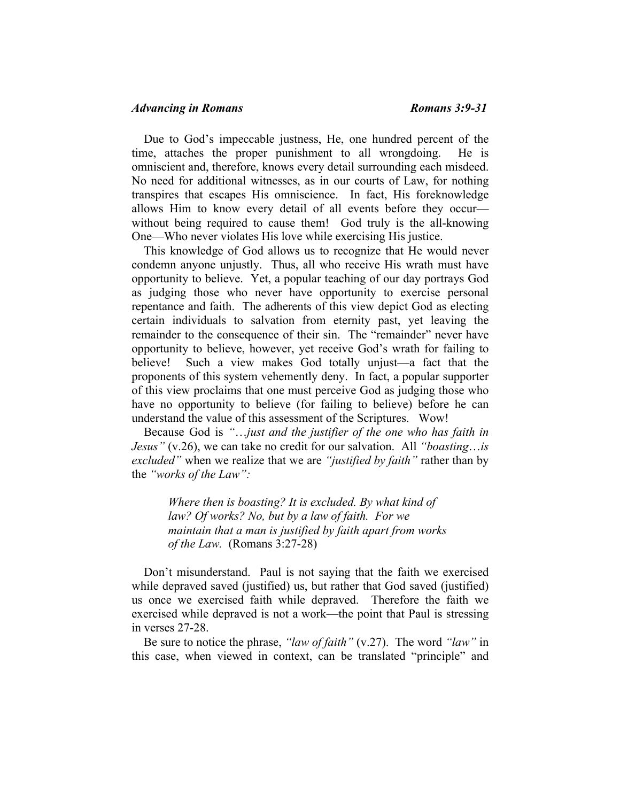Due to God's impeccable justness, He, one hundred percent of the time, attaches the proper punishment to all wrongdoing. He is omniscient and, therefore, knows every detail surrounding each misdeed. No need for additional witnesses, as in our courts of Law, for nothing transpires that escapes His omniscience. In fact, His foreknowledge allows Him to know every detail of all events before they occur without being required to cause them! God truly is the all-knowing One—Who never violates His love while exercising His justice.

 This knowledge of God allows us to recognize that He would never condemn anyone unjustly. Thus, all who receive His wrath must have opportunity to believe. Yet, a popular teaching of our day portrays God as judging those who never have opportunity to exercise personal repentance and faith. The adherents of this view depict God as electing certain individuals to salvation from eternity past, yet leaving the remainder to the consequence of their sin. The "remainder" never have opportunity to believe, however, yet receive God's wrath for failing to believe! Such a view makes God totally unjust—a fact that the proponents of this system vehemently deny. In fact, a popular supporter of this view proclaims that one must perceive God as judging those who have no opportunity to believe (for failing to believe) before he can understand the value of this assessment of the Scriptures. Wow!

 Because God is *"*…*just and the justifier of the one who has faith in Jesus"* (v.26), we can take no credit for our salvation. All *"boasting*…*is excluded"* when we realize that we are *"justified by faith"* rather than by the *"works of the Law":*

> *Where then is boasting? It is excluded. By what kind of law? Of works? No, but by a law of faith. For we maintain that a man is justified by faith apart from works of the Law.* (Romans 3:27-28)

 Don't misunderstand. Paul is not saying that the faith we exercised while depraved saved (justified) us, but rather that God saved (justified) us once we exercised faith while depraved. Therefore the faith we exercised while depraved is not a work—the point that Paul is stressing in verses 27-28.

 Be sure to notice the phrase, *"law of faith"* (v.27). The word *"law"* in this case, when viewed in context, can be translated "principle" and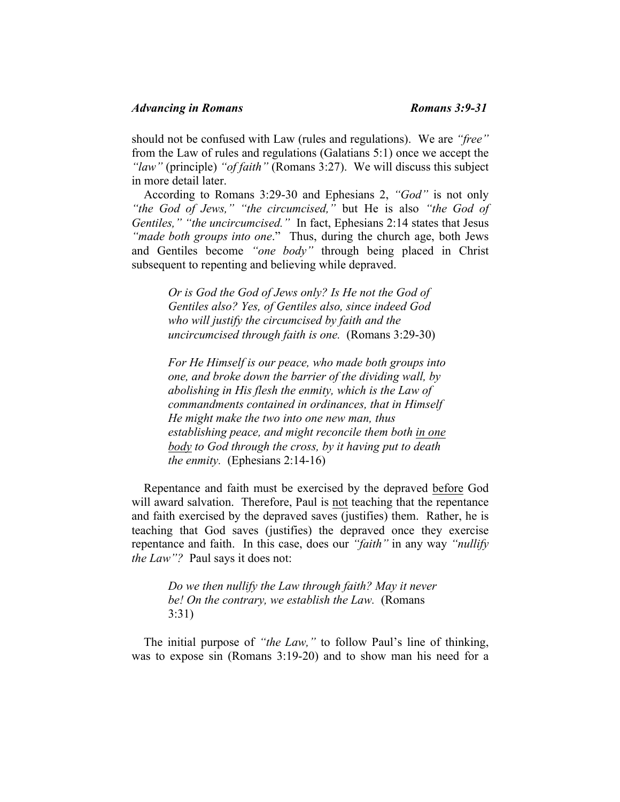should not be confused with Law (rules and regulations). We are *"free"* from the Law of rules and regulations (Galatians 5:1) once we accept the *"law"* (principle) *"of faith"* (Romans 3:27). We will discuss this subject in more detail later.

 According to Romans 3:29-30 and Ephesians 2, *"God"* is not only *"the God of Jews," "the circumcised,"* but He is also *"the God of Gentiles," "the uncircumcised."* In fact, Ephesians 2:14 states that Jesus *"made both groups into one*." Thus, during the church age, both Jews and Gentiles become *"one body"* through being placed in Christ subsequent to repenting and believing while depraved.

*Or is God the God of Jews only? Is He not the God of Gentiles also? Yes, of Gentiles also, since indeed God who will justify the circumcised by faith and the uncircumcised through faith is one.* (Romans 3:29-30)

*For He Himself is our peace, who made both groups into one, and broke down the barrier of the dividing wall, by abolishing in His flesh the enmity, which is the Law of commandments contained in ordinances, that in Himself He might make the two into one new man, thus establishing peace, and might reconcile them both in one body to God through the cross, by it having put to death the enmity.* (Ephesians 2:14-16)

 Repentance and faith must be exercised by the depraved before God will award salvation. Therefore, Paul is not teaching that the repentance and faith exercised by the depraved saves (justifies) them. Rather, he is teaching that God saves (justifies) the depraved once they exercise repentance and faith. In this case, does our *"faith"* in any way *"nullify the Law"?* Paul says it does not:

*Do we then nullify the Law through faith? May it never be! On the contrary, we establish the Law.* (Romans 3:31)

 The initial purpose of *"the Law,"* to follow Paul's line of thinking, was to expose sin (Romans 3:19-20) and to show man his need for a